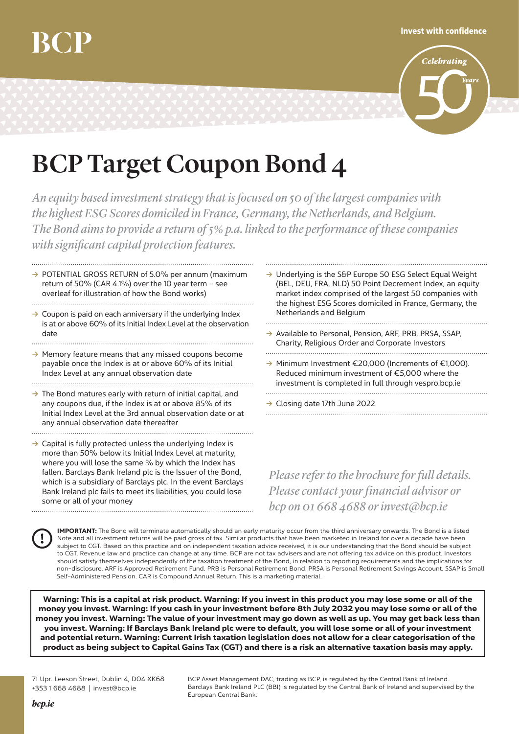## Invest with confidence



## BCP Target Coupon Bond 4

*An equity based investment strategy that is focused on 50 of thelargestcompanies with the highest ESG Scores domiciled in France, Germany, the Netherlands, and Belgium. The Bond aims to provide a return of5% p.a. linked to the performance of thesecompanies*  $with significant capital protection features.$ 

- **→ POTENTIAL GROSS RETURN of 5.0% per annum (maximum** return of 50% (CAR 4.1%) over the 10 year term – see overleaf for illustration of how the Bond works)
- **→** Coupon is paid on each anniversary if the underlying Index is at or above 60% of its Initial Index Level at the observation date
- **→** Memory feature means that any missed coupons become payable once the Index is at or above 60% of its Initial Index Level at any annual observation date
- **Ò** The Bond matures early with return of initial capital, and any coupons due, if the Index is at or above 85% of its Initial Index Level at the 3rd annual observation date or at any annual observation date thereafter

→ Capital is fully protected unless the underlying Index is more than 50% below its Initial Index Level at maturity, where you will lose the same % by which the Index has fallen. Barclays Bank Ireland plc is the Issuer of the Bond, which is a subsidiary of Barclays plc. In the event Barclays Bank Ireland plc fails to meet its liabilities, you could lose some or all of your money

- **Ò** Underlying is the S&P Europe 50 ESG Select Equal Weight (BEL, DEU, FRA, NLD) 50 Point Decrement Index, an equity market index comprised of the largest 50 companies with the highest ESG Scores domiciled in France, Germany, the Netherlands and Belgium
- **Ò** Available to Personal, Pension, ARF, PRB, PRSA, SSAP, Charity, Religious Order and Corporate Investors
- **Ò** Minimum Investment €20,000 (Increments of €1,000). Reduced minimum investment of €5,000 where the investment is completed in full through vespro.bcp.ie

**Ò** Closing date 17th June 2022

*Please refer to the brochure for full details. Pleasecontact yourfinancial advisor or bcp on 01 668 4688 orinvest@bcp.ie*

IMPORTANT: The Bond will terminate automatically should an early maturity occur from the third anniversary onwards. The Bond is a listed Note and all investment returns will be paid gross of tax. Similar products that have been marketed in Ireland for over a decade have been subject to CGT. Based on this practice and on independent taxation advice received, it is our understanding that the Bond should be subject to CGT. Revenue law and practice can change at any time. BCP are not tax advisers and are not offering tax advice on this product. Investors should satisfy themselves independently of the taxation treatment of the Bond, in relation to reporting requirements and the implications for non-disclosure. ARF is Approved Retirement Fund. PRB is Personal Retirement Bond. PRSA is Personal Retirement Savings Account. SSAP is Small Self-Administered Pension. CAR is Compound Annual Return. This is a marketing material.

Warning: This is a capital at risk product. Warning: If you invest in this product you may lose some or all of the money you invest. Warning: If you cash in your investment before 8th July 2032 you may lose some or all of the money you invest. Warning: The value of your investment may go down as well as up. You may get back less than you invest. Warning: If Barclays Bank Ireland plc were to default, you will lose some or all of your investment and potential return. Warning: Current Irish taxation legislation does not allow for a clear categorisation of the product as being subject to Capital Gains Tax (CGT) and there is a risk an alternative taxation basis may apply.

71 Upr. Leeson Street, Dublin 4, D04 XK68 +353 1 668 4688 | invest@bcp.ie

BCP Asset Management DAC, trading as BCP, is regulated by the Central Bank of Ireland. Barclays Bank Ireland PLC (BBI) is regulated by the Central Bank of Ireland and supervised by the European Central Bank.